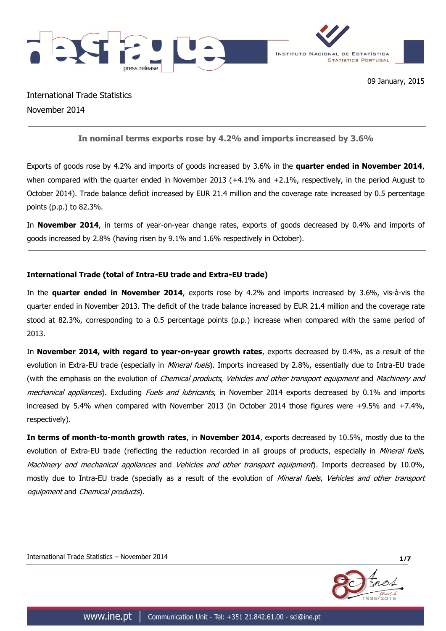

International Trade Statistics November 2014

# **In nominal terms exports rose by 4.2% and imports increased by 3.6%**

Exports of goods rose by 4.2% and imports of goods increased by 3.6% in the **quarter ended in November 2014**, when compared with the quarter ended in November 2013 (+4.1% and +2.1%, respectively, in the period August to October 2014). Trade balance deficit increased by EUR 21.4 million and the coverage rate increased by 0.5 percentage points (p.p.) to 82.3%.

In **November 2014**, in terms of year-on-year change rates, exports of goods decreased by 0.4% and imports of goods increased by 2.8% (having risen by 9.1% and 1.6% respectively in October).

# **International Trade (total of Intra-EU trade and Extra-EU trade)**

In the **quarter ended in November 2014**, exports rose by 4.2% and imports increased by 3.6%, vis-à-vis the quarter ended in November 2013. The deficit of the trade balance increased by EUR 21.4 million and the coverage rate stood at 82.3%, corresponding to a 0.5 percentage points (p.p.) increase when compared with the same period of 2013.

In **November 2014, with regard to year-on-year growth rates**, exports decreased by 0.4%, as a result of the evolution in Extra-EU trade (especially in *Mineral fuels*). Imports increased by 2.8%, essentially due to Intra-EU trade (with the emphasis on the evolution of Chemical products, Vehicles and other transport equipment and Machinery and mechanical appliances). Excluding Fuels and lubricants, in November 2014 exports decreased by 0.1% and imports increased by 5.4% when compared with November 2013 (in October 2014 those figures were +9.5% and +7.4%, respectively).

**In terms of month-to-month growth rates**, in **November 2014**, exports decreased by 10.5%, mostly due to the evolution of Extra-EU trade (reflecting the reduction recorded in all groups of products, especially in Mineral fuels, Machinery and mechanical appliances and Vehicles and other transport equipment). Imports decreased by 10.0%, mostly due to Intra-EU trade (specially as a result of the evolution of Mineral fuels, Vehicles and other transport equipment and Chemical products).

International Trade Statistics – November 2014 **1/7**

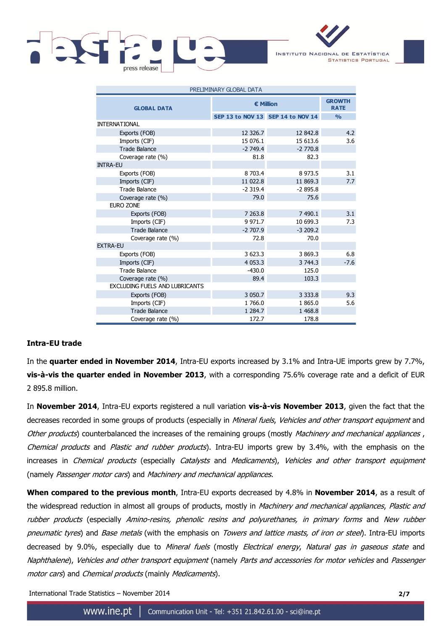

INSTITUTO NACIONAL DE ESTATÍSTICA **STATISTICS PORTUGAL** 

| PRELIMINARY GLOBAL DATA               |             |                                   |               |  |  |  |
|---------------------------------------|-------------|-----------------------------------|---------------|--|--|--|
| <b>GLOBAL DATA</b>                    | € Million   | <b>GROWTH</b><br><b>RATE</b>      |               |  |  |  |
|                                       |             | SEP 13 to NOV 13 SEP 14 to NOV 14 | $\frac{0}{0}$ |  |  |  |
| <b>INTERNATIONAL</b>                  |             |                                   |               |  |  |  |
| Exports (FOB)                         | 12 3 26.7   | 12 842.8                          | 4.2           |  |  |  |
| Imports (CIF)                         | 15 076.1    | 15 613.6                          | 3.6           |  |  |  |
| <b>Trade Balance</b>                  | $-2749.4$   | $-2770.8$                         |               |  |  |  |
| Coverage rate (%)                     | 81.8        | 82.3                              |               |  |  |  |
| <b>INTRA-EU</b>                       |             |                                   |               |  |  |  |
| Exports (FOB)                         | 8 703.4     | 8 973.5                           | 3.1           |  |  |  |
| Imports (CIF)                         | 11 022.8    | 11 869.3                          | 7.7           |  |  |  |
| <b>Trade Balance</b>                  | $-2319.4$   | $-2895.8$                         |               |  |  |  |
| Coverage rate (%)                     | 79.0        | 75.6                              |               |  |  |  |
| <b>EURO ZONE</b>                      |             |                                   |               |  |  |  |
| Exports (FOB)                         | 7 263.8     | 7 490.1                           | 3.1           |  |  |  |
| Imports (CIF)                         | 9 9 7 1.7   | 10 699.3                          | 7.3           |  |  |  |
| <b>Trade Balance</b>                  | $-2707.9$   | $-3209.2$                         |               |  |  |  |
| Coverage rate (%)                     | 72.8        | 70.0                              |               |  |  |  |
| <b>EXTRA-EU</b>                       |             |                                   |               |  |  |  |
| Exports (FOB)                         | 3 623.3     | 3 869.3                           | 6.8           |  |  |  |
| Imports (CIF)                         | 4 0 5 3 . 3 | 3 744.3                           | $-7.6$        |  |  |  |
| <b>Trade Balance</b>                  | $-430.0$    | 125.0                             |               |  |  |  |
| Coverage rate (%)                     | 89.4        | 103.3                             |               |  |  |  |
| <b>EXCLUDING FUELS AND LUBRICANTS</b> |             |                                   |               |  |  |  |
| Exports (FOB)                         | 3 0 5 0.7   | 3 3 3 3 3 8                       | 9.3           |  |  |  |
| Imports (CIF)                         | 1766.0      | 1865.0                            | 5.6           |  |  |  |
| <b>Trade Balance</b>                  | 1 2 8 4 . 7 | 1468.8                            |               |  |  |  |
| Coverage rate (%)                     | 172.7       | 178.8                             |               |  |  |  |

## **Intra-EU trade**

In the **quarter ended in November 2014**, Intra-EU exports increased by 3.1% and Intra-UE imports grew by 7.7%, **vis-à-vis the quarter ended in November 2013**, with a corresponding 75.6% coverage rate and a deficit of EUR 2 895.8 million.

In **November 2014**, Intra-EU exports registered a null variation **vis-à-vis November 2013**, given the fact that the decreases recorded in some groups of products (especially in Mineral fuels, Vehicles and other transport equipment and Other products) counterbalanced the increases of the remaining groups (mostly Machinery and mechanical appliances, Chemical products and Plastic and rubber products). Intra-EU imports grew by 3.4%, with the emphasis on the increases in Chemical products (especially Catalysts and Medicaments), Vehicles and other transport equipment (namely Passenger motor cars) and Machinery and mechanical appliances.

**When compared to the previous month**, Intra-EU exports decreased by 4.8% in **November 2014**, as a result of the widespread reduction in almost all groups of products, mostly in *Machinery and mechanical appliances, Plastic and* rubber products (especially Amino-resins, phenolic resins and polyurethanes, in primary forms and New rubber pneumatic tyres) and Base metals (with the emphasis on Towers and lattice masts, of iron or steel). Intra-EU imports decreased by 9.0%, especially due to *Mineral fuels* (mostly *Electrical energy, Natural gas in gaseous state* and Naphthalene), Vehicles and other transport equipment (namely Parts and accessories for motor vehicles and Passenger motor cars) and Chemical products (mainly Medicaments).

International Trade Statistics – November 2014 **2/7**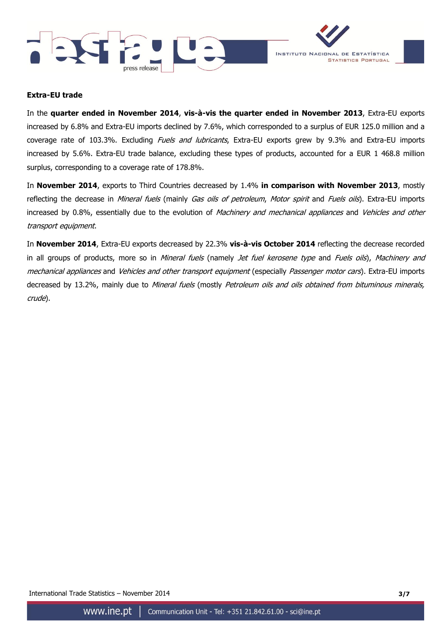



### **Extra-EU trade**

In the **quarter ended in November 2014**, **vis-à-vis the quarter ended in November 2013**, Extra-EU exports increased by 6.8% and Extra-EU imports declined by 7.6%, which corresponded to a surplus of EUR 125.0 million and a coverage rate of 103.3%. Excluding *Fuels and lubricants*, Extra-EU exports grew by 9.3% and Extra-EU imports increased by 5.6%. Extra-EU trade balance, excluding these types of products, accounted for a EUR 1 468.8 million surplus, corresponding to a coverage rate of 178.8%.

In **November 2014**, exports to Third Countries decreased by 1.4% **in comparison with November 2013**, mostly reflecting the decrease in Mineral fuels (mainly Gas oils of petroleum, Motor spirit and Fuels oils). Extra-EU imports increased by 0.8%, essentially due to the evolution of Machinery and mechanical appliances and Vehicles and other transport equipment.

In **November 2014**, Extra-EU exports decreased by 22.3% **vis-à-vis October 2014** reflecting the decrease recorded in all groups of products, more so in Mineral fuels (namely Jet fuel kerosene type and Fuels oils), Machinery and mechanical appliances and Vehicles and other transport equipment (especially Passenger motor cars). Extra-EU imports decreased by 13.2%, mainly due to Mineral fuels (mostly Petroleum oils and oils obtained from bituminous minerals, crude).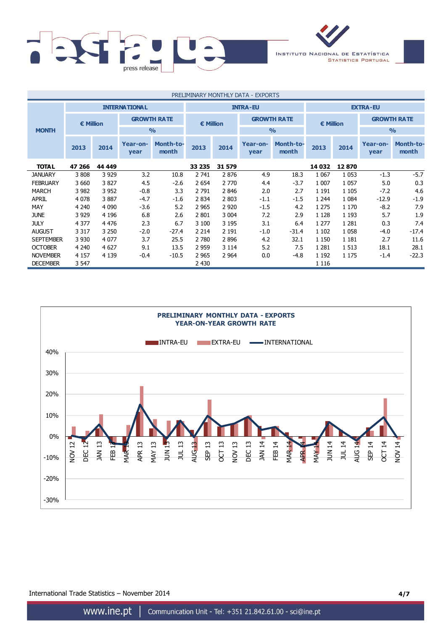

| PRELIMINARY MONTHLY DATA - EXPORTS |         |           |                                         |                           |         |           |                  |                           |         |                    |                  |                           |  |
|------------------------------------|---------|-----------|-----------------------------------------|---------------------------|---------|-----------|------------------|---------------------------|---------|--------------------|------------------|---------------------------|--|
|                                    |         |           | <b>INTERNATIONAL</b><br><b>INTRA-EU</b> |                           |         |           | <b>EXTRA-EU</b>  |                           |         |                    |                  |                           |  |
|                                    |         | € Million |                                         | <b>GROWTH RATE</b>        |         | € Million |                  | <b>GROWTH RATE</b>        |         | $\epsilon$ Million |                  | <b>GROWTH RATE</b>        |  |
| <b>MONTH</b>                       |         |           |                                         | $\frac{0}{0}$             |         |           |                  | $\frac{0}{0}$             |         |                    | $\frac{9}{0}$    |                           |  |
|                                    | 2013    | 2014      | Year-on-<br>year                        | <b>Month-to-</b><br>month | 2013    | 2014      | Year-on-<br>year | <b>Month-to-</b><br>month | 2013    | 2014               | Year-on-<br>year | <b>Month-to-</b><br>month |  |
| <b>TOTAL</b>                       | 47 266  | 44 449    |                                         |                           | 33 235  | 31 579    |                  |                           | 14 032  | 12870              |                  |                           |  |
| <b>JANUARY</b>                     | 3808    | 3 9 2 9   | 3.2                                     | 10.8                      | 2 741   | 2876      | 4.9              | 18.3                      | 1 0 6 7 | 1 0 5 3            | $-1.3$           | $-5.7$                    |  |
| <b>FEBRUARY</b>                    | 3 6 6 0 | 3827      | 4.5                                     | $-2.6$                    | 2 6 5 4 | 2 7 7 0   | 4.4              | $-3.7$                    | 1 0 0 7 | 1 0 5 7            | 5.0              | 0.3                       |  |
| <b>MARCH</b>                       | 3 9 8 2 | 3 9 5 2   | $-0.8$                                  | 3.3                       | 2 7 9 1 | 2846      | 2.0              | 2.7                       | 1 1 9 1 | 1 1 0 5            | $-7.2$           | 4.6                       |  |
| <b>APRIL</b>                       | 4 0 7 8 | 3887      | $-4.7$                                  | $-1.6$                    | 2 8 3 4 | 2 8 0 3   | $-1.1$           | $-1.5$                    | 1 2 4 4 | 1 0 8 4            | $-12.9$          | $-1.9$                    |  |
| <b>MAY</b>                         | 4 2 4 0 | 4 0 9 0   | $-3.6$                                  | 5.2                       | 2 9 6 5 | 2 9 2 0   | $-1.5$           | 4.2                       | 1 2 7 5 | 1 1 7 0            | $-8.2$           | 7.9                       |  |
| <b>JUNE</b>                        | 3 9 2 9 | 4 1 9 6   | 6.8                                     | 2.6                       | 2 8 0 1 | 3 0 0 4   | 7.2              | 2.9                       | 1 1 2 8 | 1 1 9 3            | 5.7              | 1.9                       |  |
| <b>JULY</b>                        | 4 3 7 7 | 4 4 7 6   | 2.3                                     | 6.7                       | 3 100   | 3 1 9 5   | 3.1              | 6.4                       | 1 2 7 7 | 1 2 8 1            | 0.3              | 7.4                       |  |
| <b>AUGUST</b>                      | 3 3 1 7 | 3 2 5 0   | $-2.0$                                  | $-27.4$                   | 2 2 1 4 | 2 1 9 1   | $-1.0$           | $-31.4$                   | 1 1 0 2 | 1 0 5 8            | $-4.0$           | $-17.4$                   |  |
| <b>SEPTEMBER</b>                   | 3 9 3 0 | 4 0 7 7   | 3.7                                     | 25.5                      | 2 7 8 0 | 2896      | 4.2              | 32.1                      | 1 1 5 0 | 1 1 8 1            | 2.7              | 11.6                      |  |
| <b>OCTOBER</b>                     | 4 2 4 0 | 4 6 2 7   | 9.1                                     | 13.5                      | 2 9 5 9 | 3 1 1 4   | 5.2              | 7.5                       | 1 2 8 1 | 1 5 1 3            | 18.1             | 28.1                      |  |
| <b>NOVEMBER</b>                    | 4 1 5 7 | 4 1 3 9   | $-0.4$                                  | $-10.5$                   | 2 9 6 5 | 2 9 64    | 0.0              | $-4.8$                    | 1 1 9 2 | 1 1 7 5            | $-1.4$           | $-22.3$                   |  |
| <b>DECEMBER</b>                    | 3 5 4 7 |           |                                         |                           | 2 4 3 0 |           |                  |                           | 1 1 1 6 |                    |                  |                           |  |



International Trade Statistics – November 2014 **4/7**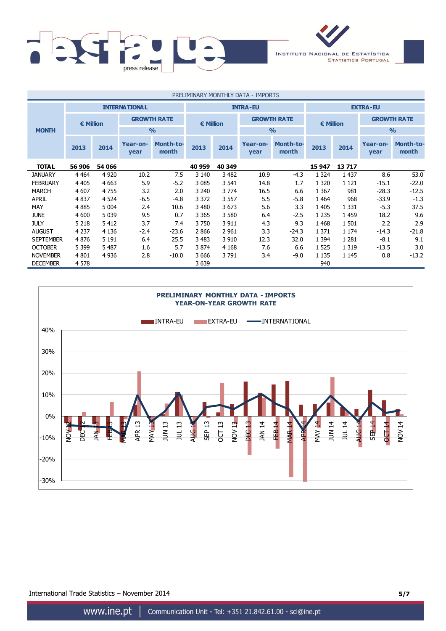

| PRELIMINARY MONTHLY DATA - IMPORTS |           |         |                      |                           |                 |         |                    |                           |                 |         |                    |                           |  |
|------------------------------------|-----------|---------|----------------------|---------------------------|-----------------|---------|--------------------|---------------------------|-----------------|---------|--------------------|---------------------------|--|
|                                    |           |         | <b>INTERNATIONAL</b> |                           | <b>INTRA-EU</b> |         |                    |                           | <b>EXTRA-EU</b> |         |                    |                           |  |
|                                    | € Million |         | <b>GROWTH RATE</b>   |                           | € Million       |         | <b>GROWTH RATE</b> |                           | € Million       |         | <b>GROWTH RATE</b> |                           |  |
| <b>MONTH</b>                       |           |         |                      | $\frac{0}{0}$             |                 |         |                    | $\frac{0}{0}$             |                 |         | $\frac{0}{0}$      |                           |  |
|                                    | 2013      | 2014    | Year-on-<br>year     | <b>Month-to-</b><br>month | 2013            | 2014    | Year-on-<br>year   | <b>Month-to-</b><br>month | 2013            | 2014    | Year-on-<br>year   | <b>Month-to-</b><br>month |  |
| <b>TOTAL</b>                       | 56 906    | 54 066  |                      |                           | 40 959          | 40 349  |                    |                           | 15 947          | 13717   |                    |                           |  |
| <b>JANUARY</b>                     | 4 4 6 4   | 4 9 20  | 10.2                 | 7.5                       | 3 1 4 0         | 3 4 8 2 | 10.9               | $-4.3$                    | 1 3 2 4         | 1 4 3 7 | 8.6                | 53.0                      |  |
| <b>FEBRUARY</b>                    | 4 4 0 5   | 4 6 63  | 5.9                  | $-5.2$                    | 3 0 8 5         | 3 5 4 1 | 14.8               | 1.7                       | 1 3 2 0         | 1 1 2 1 | $-15.1$            | $-22.0$                   |  |
| <b>MARCH</b>                       | 4 607     | 4755    | 3.2                  | 2.0                       | 3 2 4 0         | 3 7 7 4 | 16.5               | 6.6                       | 1 3 6 7         | 981     | $-28.3$            | $-12.5$                   |  |
| <b>APRIL</b>                       | 4 8 3 7   | 4 5 24  | $-6.5$               | $-4.8$                    | 3 3 7 2         | 3 5 5 7 | 5.5                | $-5.8$                    | 1 4 6 4         | 968     | $-33.9$            | $-1.3$                    |  |
| <b>MAY</b>                         | 4 8 8 5   | 5 0 0 4 | 2.4                  | 10.6                      | 3 4 8 0         | 3 6 7 3 | 5.6                | 3.3                       | 1 4 0 5         | 1 3 3 1 | $-5.3$             | 37.5                      |  |
| <b>JUNE</b>                        | 4 600     | 5 0 3 9 | 9.5                  | 0.7                       | 3 3 6 5         | 3 5 8 0 | 6.4                | $-2.5$                    | 1 2 3 5         | 1 4 5 9 | 18.2               | 9.6                       |  |
| <b>JULY</b>                        | 5 2 1 8   | 5412    | 3.7                  | 7.4                       | 3 7 5 0         | 3 9 1 1 | 4.3                | 9.3                       | 1 4 6 8         | 1 501   | 2.2                | 2.9                       |  |
| <b>AUGUST</b>                      | 4 2 3 7   | 4 1 3 6 | $-2.4$               | $-23.6$                   | 2866            | 2 9 6 1 | 3.3                | $-24.3$                   | 1 3 7 1         | 1 1 7 4 | $-14.3$            | $-21.8$                   |  |
| <b>SEPTEMBER</b>                   | 4876      | 5 1 9 1 | 6.4                  | 25.5                      | 3 4 8 3         | 3 9 1 0 | 12.3               | 32.0                      | 1 3 9 4         | 1 2 8 1 | $-8.1$             | 9.1                       |  |
| <b>OCTOBER</b>                     | 5 3 9 9   | 5 4 8 7 | 1.6                  | 5.7                       | 3 8 7 4         | 4 1 6 8 | 7.6                | 6.6                       | 1 5 2 5         | 1 3 1 9 | $-13.5$            | 3.0                       |  |
| <b>NOVEMBER</b>                    | 4 8 0 1   | 4 9 3 6 | 2.8                  | $-10.0$                   | 3 6 6 6         | 3791    | 3.4                | $-9.0$                    | 1 1 3 5         | 1 1 4 5 | 0.8                | $-13.2$                   |  |
| <b>DECEMBER</b>                    | 4 5 7 8   |         |                      |                           | 3 6 3 9         |         |                    |                           | 940             |         |                    |                           |  |



International Trade Statistics – November 2014 **5/7**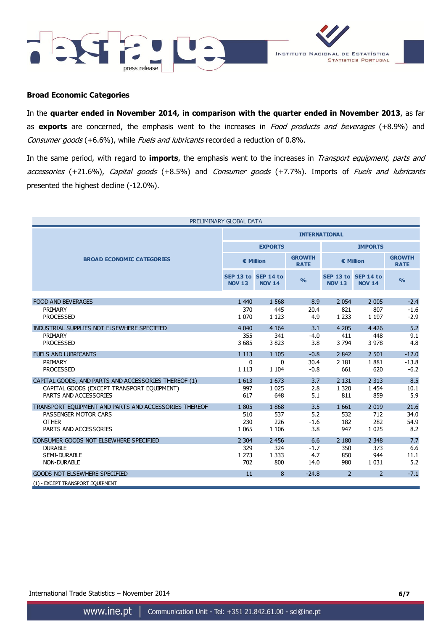



### **Broad Economic Categories**

In the **quarter ended in November 2014, in comparison with the quarter ended in November 2013**, as far as **exports** are concerned, the emphasis went to the increases in Food products and beverages (+8.9%) and Consumer goods (+6.6%), while Fuels and lubricants recorded a reduction of 0.8%.

In the same period, with regard to **imports**, the emphasis went to the increases in Transport equipment, parts and accessories (+21.6%), Capital goods (+8.5%) and Consumer goods (+7.7%). Imports of Fuels and lubricants presented the highest decline (-12.0%).

| PRELIMINARY GLOBAL DATA                               |                            |                            |                              |                |                                      |                              |  |
|-------------------------------------------------------|----------------------------|----------------------------|------------------------------|----------------|--------------------------------------|------------------------------|--|
|                                                       | <b>INTERNATIONAL</b>       |                            |                              |                |                                      |                              |  |
|                                                       |                            | <b>EXPORTS</b>             |                              | <b>IMPORTS</b> |                                      |                              |  |
| <b>BROAD ECONOMIC CATEGORIES</b>                      |                            | € Million                  | <b>GROWTH</b><br><b>RATE</b> |                | € Million                            | <b>GROWTH</b><br><b>RATE</b> |  |
|                                                       | SEP 13 to<br><b>NOV 13</b> | SEP 14 to<br><b>NOV 14</b> | $\frac{9}{6}$                | <b>NOV 13</b>  | SEP 13 to SEP 14 to<br><b>NOV 14</b> | $\frac{0}{0}$                |  |
|                                                       |                            |                            |                              |                |                                      |                              |  |
| <b>FOOD AND BEVERAGES</b><br>PRIMARY                  | 1 4 4 0<br>370             | 1 5 6 8                    | 8.9                          | 2 0 5 4<br>821 | 2 0 0 5<br>807                       | $-2.4$                       |  |
| <b>PROCESSED</b>                                      | 1 0 7 0                    | 445<br>1 1 2 3             | 20.4<br>4.9                  | 1 2 3 3        | 1 1 9 7                              | $-1.6$<br>$-2.9$             |  |
|                                                       |                            |                            |                              |                |                                      |                              |  |
| INDUSTRIAL SUPPLIES NOT ELSEWHERE SPECIFIED           | 4 0 4 0                    | 4 1 6 4                    | 3.1                          | 4 2 0 5        | 4 4 2 6                              | 5.2                          |  |
| PRIMARY                                               | 355                        | 341                        | $-4.0$                       | 411            | 448                                  | 9.1                          |  |
| <b>PROCESSED</b>                                      | 3685                       | 3823                       | 3.8                          | 3 7 9 4        | 3 9 7 8                              | 4.8                          |  |
| <b>FUELS AND LUBRICANTS</b>                           | 1 1 1 3                    | 1 1 0 5                    | $-0.8$                       | 2 8 4 2        | 2 5 0 1                              | $-12.0$                      |  |
| PRIMARY                                               | 0                          | $\mathbf{0}$               | 30.4                         | 2 1 8 1        | 1881                                 | $-13.8$                      |  |
| <b>PROCESSED</b>                                      | 1 1 1 3                    | 1 1 0 4                    | $-0.8$                       | 661            | 620                                  | $-6.2$                       |  |
| CAPITAL GOODS, AND PARTS AND ACCESSORIES THEREOF (1)  | 1613                       | 1673                       | 3.7                          | 2 1 3 1        | 2 3 1 3                              | 8.5                          |  |
| CAPITAL GOODS (EXCEPT TRANSPORT EQUIPMENT)            | 997                        | 1 0 2 5                    | 2.8                          | 1 3 2 0        | 1 4 5 4                              | 10.1                         |  |
| PARTS AND ACCESSORIES                                 | 617                        | 648                        | 5.1                          | 811            | 859                                  | 5.9                          |  |
| TRANSPORT EQUIPMENT AND PARTS AND ACCESSORIES THEREOF | 1805                       | 1868                       | 3.5                          | 1 6 6 1        | 2 0 1 9                              | 21.6                         |  |
| PASSENGER MOTOR CARS                                  | 510                        | 537                        | 5.2                          | 532            | 712                                  | 34.0                         |  |
| <b>OTHER</b>                                          | 230                        | 226                        | $-1.6$                       | 182            | 282                                  | 54.9                         |  |
| PARTS AND ACCESSORIES                                 | 1 0 6 5                    | 1 1 0 6                    | 3.8                          | 947            | 1 0 2 5                              | 8.2                          |  |
|                                                       |                            |                            |                              |                |                                      |                              |  |
| CONSUMER GOODS NOT ELSEWHERE SPECIFIED                | 2 3 0 4                    | 2 4 5 6                    | 6.6                          | 2 1 8 0        | 2 3 4 8                              | 7.7                          |  |
| <b>DURABLE</b>                                        | 329                        | 324                        | $-1.7$                       | 350            | 373                                  | 6.6                          |  |
| <b>SEMI-DURABLE</b><br><b>NON-DURABLE</b>             | 1 2 7 3<br>702             | 1 3 3 3<br>800             | 4.7                          | 850<br>980     | 944<br>1 0 3 1                       | 11.1<br>5.2                  |  |
|                                                       |                            |                            | 14.0                         |                |                                      |                              |  |
| <b>GOODS NOT ELSEWHERE SPECIFIED</b>                  | 11                         | 8                          | $-24.8$                      | $\overline{2}$ | $\overline{2}$                       | $-7.1$                       |  |
| (1) - EXCEPT TRANSPORT EQUIPMENT                      |                            |                            |                              |                |                                      |                              |  |